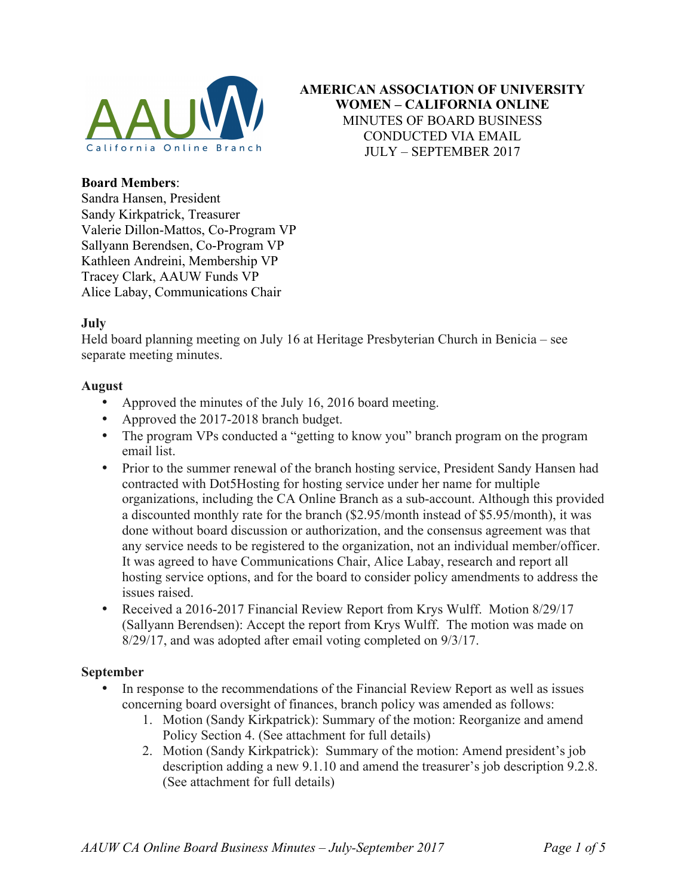

**AMERICAN ASSOCIATION OF UNIVERSITY WOMEN – CALIFORNIA ONLINE** MINUTES OF BOARD BUSINESS CONDUCTED VIA EMAIL JULY – SEPTEMBER 2017

# **Board Members**:

Sandra Hansen, President Sandy Kirkpatrick, Treasurer Valerie Dillon-Mattos, Co-Program VP Sallyann Berendsen, Co-Program VP Kathleen Andreini, Membership VP Tracey Clark, AAUW Funds VP Alice Labay, Communications Chair

### **July**

Held board planning meeting on July 16 at Heritage Presbyterian Church in Benicia – see separate meeting minutes.

### **August**

- Approved the minutes of the July 16, 2016 board meeting.
- Approved the 2017-2018 branch budget.
- The program VPs conducted a "getting to know you" branch program on the program email list.
- Prior to the summer renewal of the branch hosting service, President Sandy Hansen had contracted with Dot5Hosting for hosting service under her name for multiple organizations, including the CA Online Branch as a sub-account. Although this provided a discounted monthly rate for the branch (\$2.95/month instead of \$5.95/month), it was done without board discussion or authorization, and the consensus agreement was that any service needs to be registered to the organization, not an individual member/officer. It was agreed to have Communications Chair, Alice Labay, research and report all hosting service options, and for the board to consider policy amendments to address the issues raised.
- Received a 2016-2017 Financial Review Report from Krys Wulff. Motion 8/29/17 (Sallyann Berendsen): Accept the report from Krys Wulff. The motion was made on 8/29/17, and was adopted after email voting completed on 9/3/17.

### **September**

- In response to the recommendations of the Financial Review Report as well as issues concerning board oversight of finances, branch policy was amended as follows:
	- 1. Motion (Sandy Kirkpatrick): Summary of the motion: Reorganize and amend Policy Section 4. (See attachment for full details)
	- 2. Motion (Sandy Kirkpatrick): Summary of the motion: Amend president's job description adding a new 9.1.10 and amend the treasurer's job description 9.2.8. (See attachment for full details)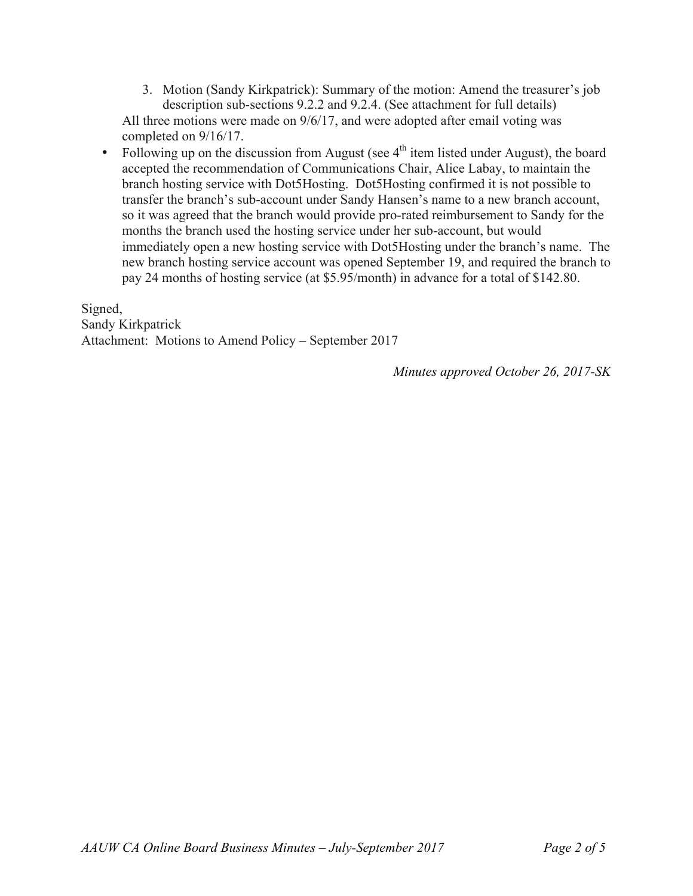- 3. Motion (Sandy Kirkpatrick): Summary of the motion: Amend the treasurer's job description sub-sections 9.2.2 and 9.2.4. (See attachment for full details) All three motions were made on 9/6/17, and were adopted after email voting was completed on 9/16/17.
- Following up on the discussion from August (see  $4<sup>th</sup>$  item listed under August), the board accepted the recommendation of Communications Chair, Alice Labay, to maintain the branch hosting service with Dot5Hosting. Dot5Hosting confirmed it is not possible to transfer the branch's sub-account under Sandy Hansen's name to a new branch account, so it was agreed that the branch would provide pro-rated reimbursement to Sandy for the months the branch used the hosting service under her sub-account, but would immediately open a new hosting service with Dot5Hosting under the branch's name. The new branch hosting service account was opened September 19, and required the branch to pay 24 months of hosting service (at \$5.95/month) in advance for a total of \$142.80.

Signed, Sandy Kirkpatrick Attachment: Motions to Amend Policy – September 2017

*Minutes approved October 26, 2017-SK*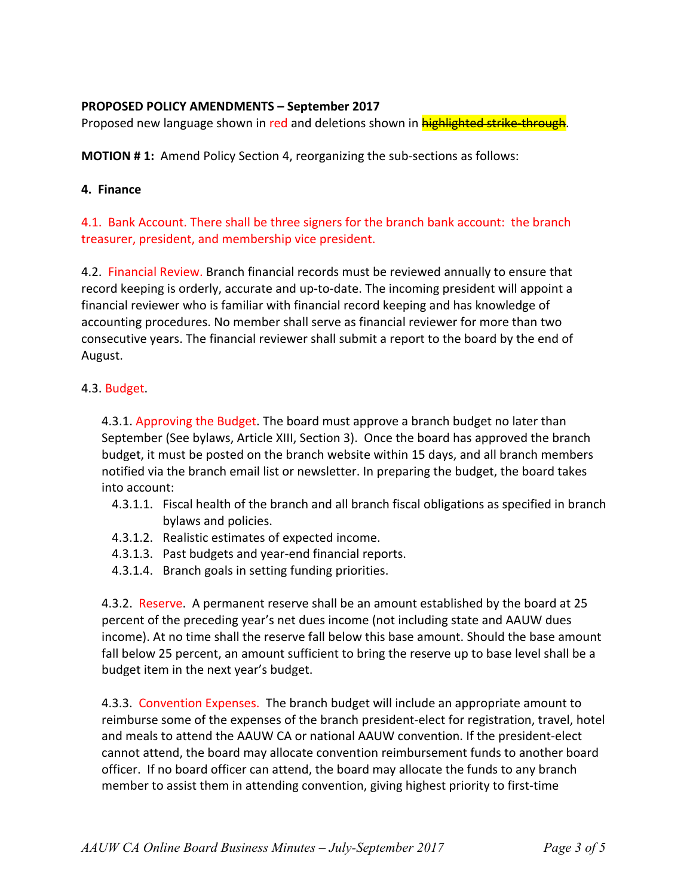# **PROPOSED POLICY AMENDMENTS - September 2017**

Proposed new language shown in red and deletions shown in highlighted strike-through.

**MOTION # 1:** Amend Policy Section 4, reorganizing the sub-sections as follows:

### **4. Finance**

# 4.1. Bank Account. There shall be three signers for the branch bank account: the branch treasurer, president, and membership vice president.

4.2. Financial Review. Branch financial records must be reviewed annually to ensure that record keeping is orderly, accurate and up-to-date. The incoming president will appoint a financial reviewer who is familiar with financial record keeping and has knowledge of accounting procedures. No member shall serve as financial reviewer for more than two consecutive years. The financial reviewer shall submit a report to the board by the end of August.

# 4.3. Budget.

4.3.1. Approving the Budget. The board must approve a branch budget no later than September (See bylaws, Article XIII, Section 3). Once the board has approved the branch budget, it must be posted on the branch website within 15 days, and all branch members notified via the branch email list or newsletter. In preparing the budget, the board takes into account:

- 4.3.1.1. Fiscal health of the branch and all branch fiscal obligations as specified in branch bylaws and policies.
- 4.3.1.2. Realistic estimates of expected income.
- 4.3.1.3. Past budgets and year-end financial reports.
- 4.3.1.4. Branch goals in setting funding priorities.

4.3.2. Reserve. A permanent reserve shall be an amount established by the board at 25 percent of the preceding year's net dues income (not including state and AAUW dues income). At no time shall the reserve fall below this base amount. Should the base amount fall below 25 percent, an amount sufficient to bring the reserve up to base level shall be a budget item in the next year's budget.

4.3.3. Convention Expenses. The branch budget will include an appropriate amount to reimburse some of the expenses of the branch president-elect for registration, travel, hotel and meals to attend the AAUW CA or national AAUW convention. If the president-elect cannot attend, the board may allocate convention reimbursement funds to another board officer. If no board officer can attend, the board may allocate the funds to any branch member to assist them in attending convention, giving highest priority to first-time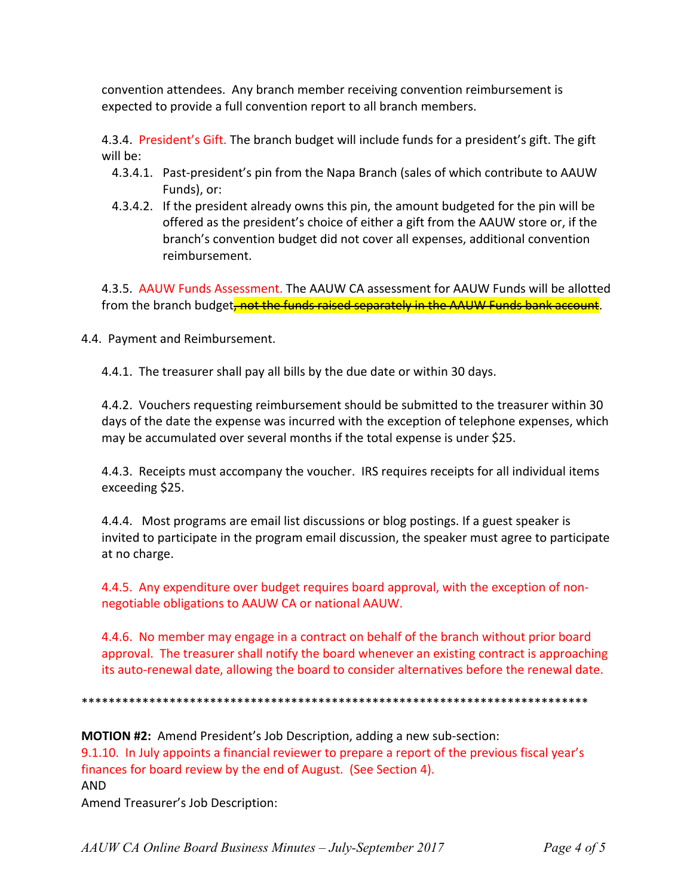convention attendees. Any branch member receiving convention reimbursement is expected to provide a full convention report to all branch members.

4.3.4. President's Gift. The branch budget will include funds for a president's gift. The gift will be:

- 4.3.4.1. Past-president's pin from the Napa Branch (sales of which contribute to AAUW Funds), or:
- 4.3.4.2. If the president already owns this pin, the amount budgeted for the pin will be offered as the president's choice of either a gift from the AAUW store or, if the branch's convention budget did not cover all expenses, additional convention reimbursement.

4.3.5. AAUW Funds Assessment. The AAUW CA assessment for AAUW Funds will be allotted from the branch budget<del>, not the funds raised separately in the AAUW Funds bank account</del>.

4.4. Payment and Reimbursement.

4.4.1. The treasurer shall pay all bills by the due date or within 30 days.

4.4.2. Vouchers requesting reimbursement should be submitted to the treasurer within 30 days of the date the expense was incurred with the exception of telephone expenses, which may be accumulated over several months if the total expense is under \$25.

4.4.3. Receipts must accompany the voucher. IRS requires receipts for all individual items exceeding \$25.

4.4.4. Most programs are email list discussions or blog postings. If a guest speaker is invited to participate in the program email discussion, the speaker must agree to participate at no charge.

4.4.5. Any expenditure over budget requires board approval, with the exception of nonnegotiable obligations to AAUW CA or national AAUW.

4.4.6. No member may engage in a contract on behalf of the branch without prior board approval. The treasurer shall notify the board whenever an existing contract is approaching its auto-renewal date, allowing the board to consider alternatives before the renewal date.

\*\*\*\*\*\*\*\*\*\*\*\*\*\*\*\*\*\*\*\*\*\*\*\*\*\*\*\*\*\*\*\*\*\*\*\*\*\*\*\*\*\*\*\*\*\*\*\*\*\*\*\*\*\*\*\*\*\*\*\*\*\*\*\*\*\*\*\*\*\*\*\*\*\*\*

**MOTION #2:** Amend President's Job Description, adding a new sub-section: 9.1.10. In July appoints a financial reviewer to prepare a report of the previous fiscal year's finances for board review by the end of August. (See Section 4). AND Amend Treasurer's Job Description: